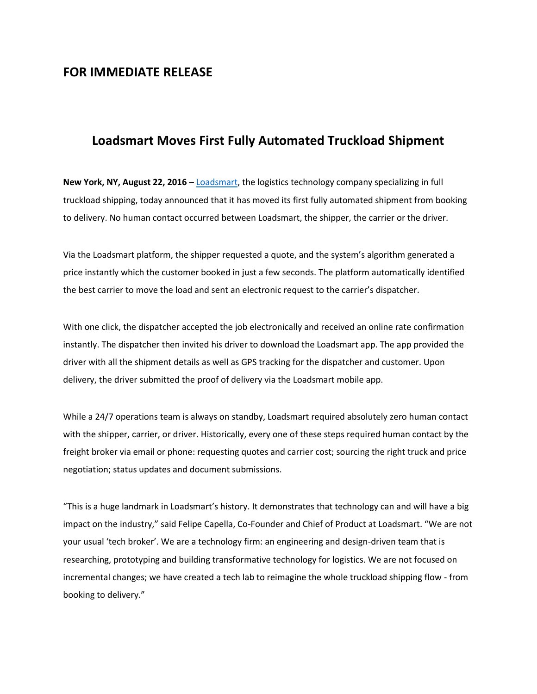## **FOR IMMEDIATE RELEASE**

# **Loadsmart Moves First Fully Automated Truckload Shipment**

**New York, NY, August 22, 2016** – [Loadsmart,](https://loadsmart.com/) the logistics technology company specializing in full truckload shipping, today announced that it has moved its first fully automated shipment from booking to delivery. No human contact occurred between Loadsmart, the shipper, the carrier or the driver.

Via the Loadsmart platform, the shipper requested a quote, and the system's algorithm generated a price instantly which the customer booked in just a few seconds. The platform automatically identified the best carrier to move the load and sent an electronic request to the carrier's dispatcher.

With one click, the dispatcher accepted the job electronically and received an online rate confirmation instantly. The dispatcher then invited his driver to download the Loadsmart app. The app provided the driver with all the shipment details as well as GPS tracking for the dispatcher and customer. Upon delivery, the driver submitted the proof of delivery via the Loadsmart mobile app.

While a 24/7 operations team is always on standby, Loadsmart required absolutely zero human contact with the shipper, carrier, or driver. Historically, every one of these steps required human contact by the freight broker via email or phone: requesting quotes and carrier cost; sourcing the right truck and price negotiation; status updates and document submissions.

"This is a huge landmark in Loadsmart's history. It demonstrates that technology can and will have a big impact on the industry," said Felipe Capella, Co-Founder and Chief of Product at Loadsmart. "We are not your usual 'tech broker'. We are a technology firm: an engineering and design-driven team that is researching, prototyping and building transformative technology for logistics. We are not focused on incremental changes; we have created a tech lab to reimagine the whole truckload shipping flow - from booking to delivery."